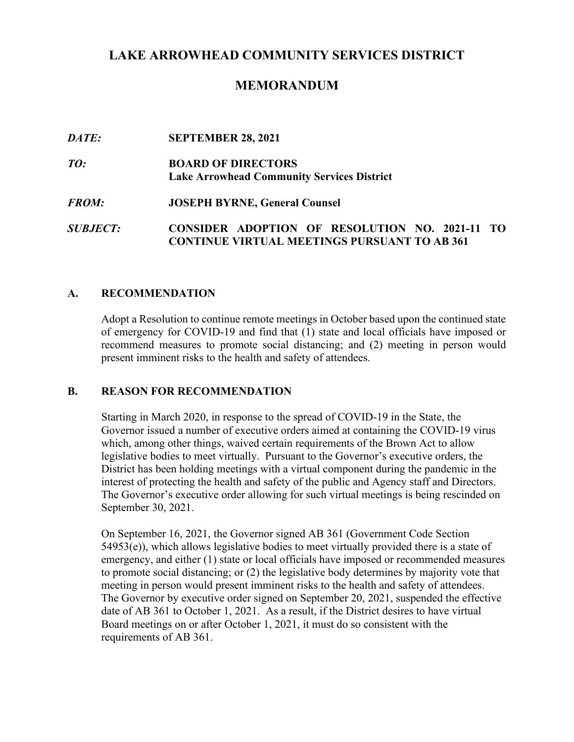# **LAKE ARROWHEAD COMMUNITY SERVICES DISTRICT**

# **MEMORANDUM**

| DATE:           | <b>SEPTEMBER 28, 2021</b>                                                                                    |
|-----------------|--------------------------------------------------------------------------------------------------------------|
| TO:             | <b>BOARD OF DIRECTORS</b><br><b>Lake Arrowhead Community Services District</b>                               |
| <i>FROM:</i>    | <b>JOSEPH BYRNE, General Counsel</b>                                                                         |
| <i>SUBJECT:</i> | <b>CONSIDER ADOPTION OF RESOLUTION NO. 2021-11 TO</b><br><b>CONTINUE VIRTUAL MEETINGS PURSUANT TO AB 361</b> |

#### **A. RECOMMENDATION**

 of emergency for COVID-19 and find that (1) state and local officials have imposed or present imminent risks to the health and safety of attendees. Adopt a Resolution to continue remote meetings in October based upon the continued state recommend measures to promote social distancing; and (2) meeting in person would

#### **B. REASON FOR RECOMMENDATION**

 legislative bodies to meet virtually. Pursuant to the Governor's executive orders, the Starting in March 2020, in response to the spread of COVID-19 in the State, the Governor issued a number of executive orders aimed at containing the COVID-19 virus which, among other things, waived certain requirements of the Brown Act to allow District has been holding meetings with a virtual component during the pandemic in the interest of protecting the health and safety of the public and Agency staff and Directors. The Governor's executive order allowing for such virtual meetings is being rescinded on September 30, 2021.

 requirements of AB 361. On September 16, 2021, the Governor signed AB 361 (Government Code Section 54953(e)), which allows legislative bodies to meet virtually provided there is a state of emergency, and either (1) state or local officials have imposed or recommended measures to promote social distancing; or (2) the legislative body determines by majority vote that meeting in person would present imminent risks to the health and safety of attendees. The Governor by executive order signed on September 20, 2021, suspended the effective date of AB 361 to October 1, 2021. As a result, if the District desires to have virtual Board meetings on or after October 1, 2021, it must do so consistent with the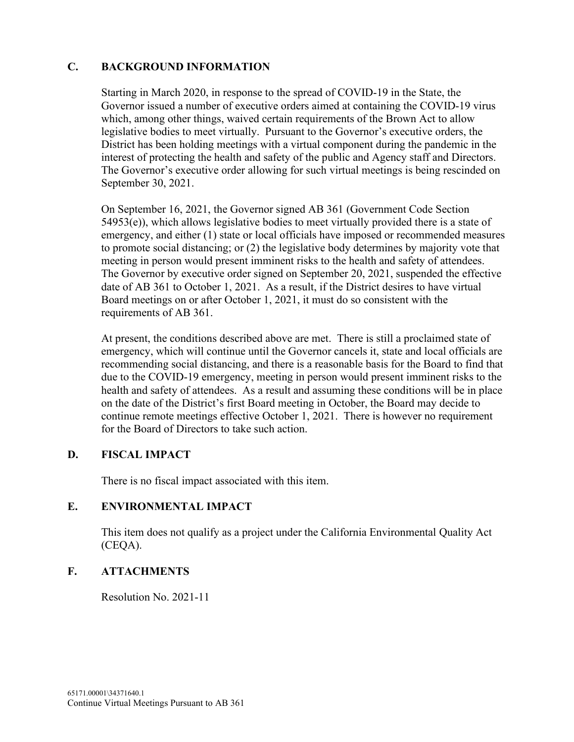## **C. BACKGROUND INFORMATION**

Starting in March 2020, in response to the spread of COVID-19 in the State, the Governor issued a number of executive orders aimed at containing the COVID-19 virus which, among other things, waived certain requirements of the Brown Act to allow legislative bodies to meet virtually. Pursuant to the Governor's executive orders, the District has been holding meetings with a virtual component during the pandemic in the interest of protecting the health and safety of the public and Agency staff and Directors. The Governor's executive order allowing for such virtual meetings is being rescinded on September 30, 2021.

 requirements of AB 361. On September 16, 2021, the Governor signed AB 361 (Government Code Section 54953(e)), which allows legislative bodies to meet virtually provided there is a state of emergency, and either (1) state or local officials have imposed or recommended measures to promote social distancing; or (2) the legislative body determines by majority vote that meeting in person would present imminent risks to the health and safety of attendees. The Governor by executive order signed on September 20, 2021, suspended the effective date of AB 361 to October 1, 2021. As a result, if the District desires to have virtual Board meetings on or after October 1, 2021, it must do so consistent with the

 health and safety of attendees. As a result and assuming these conditions will be in place At present, the conditions described above are met. There is still a proclaimed state of emergency, which will continue until the Governor cancels it, state and local officials are recommending social distancing, and there is a reasonable basis for the Board to find that due to the COVID-19 emergency, meeting in person would present imminent risks to the on the date of the District's first Board meeting in October, the Board may decide to continue remote meetings effective October 1, 2021. There is however no requirement for the Board of Directors to take such action.

### **D. FISCAL IMPACT**

There is no fiscal impact associated with this item.

### **E. ENVIRONMENTAL IMPACT**

 This item does not qualify as a project under the California Environmental Quality Act (CEQA).

### **F. ATTACHMENTS**

Resolution No. 2021-11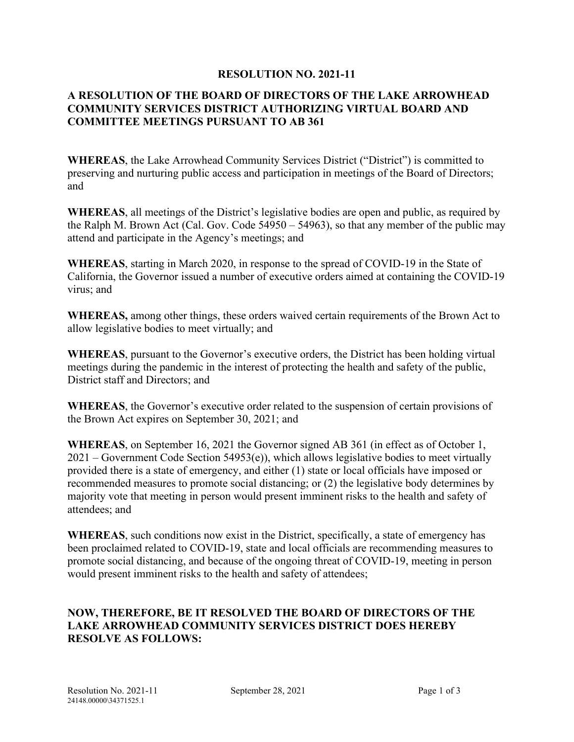#### **RESOLUTION NO. 2021-11**

### **A RESOLUTION OF THE BOARD OF DIRECTORS OF THE LAKE ARROWHEAD COMMUNITY SERVICES DISTRICT AUTHORIZING VIRTUAL BOARD AND COMMITTEE MEETINGS PURSUANT TO AB 361**

**WHEREAS**, the Lake Arrowhead Community Services District ("District") is committed to preserving and nurturing public access and participation in meetings of the Board of Directors; and

**WHEREAS**, all meetings of the District's legislative bodies are open and public, as required by the Ralph M. Brown Act (Cal. Gov. Code 54950 – 54963), so that any member of the public may attend and participate in the Agency's meetings; and

**WHEREAS**, starting in March 2020, in response to the spread of COVID-19 in the State of California, the Governor issued a number of executive orders aimed at containing the COVID-19 virus; and

**WHEREAS,** among other things, these orders waived certain requirements of the Brown Act to allow legislative bodies to meet virtually; and

**WHEREAS**, pursuant to the Governor's executive orders, the District has been holding virtual meetings during the pandemic in the interest of protecting the health and safety of the public, District staff and Directors; and

**WHEREAS**, the Governor's executive order related to the suspension of certain provisions of the Brown Act expires on September 30, 2021; and

**WHEREAS**, on September 16, 2021 the Governor signed AB 361 (in effect as of October 1, 2021 – Government Code Section 54953(e)), which allows legislative bodies to meet virtually provided there is a state of emergency, and either (1) state or local officials have imposed or recommended measures to promote social distancing; or (2) the legislative body determines by majority vote that meeting in person would present imminent risks to the health and safety of attendees; and

**WHEREAS**, such conditions now exist in the District, specifically, a state of emergency has been proclaimed related to COVID-19, state and local officials are recommending measures to promote social distancing, and because of the ongoing threat of COVID-19, meeting in person would present imminent risks to the health and safety of attendees;

### **NOW, THEREFORE, BE IT RESOLVED THE BOARD OF DIRECTORS OF THE LAKE ARROWHEAD COMMUNITY SERVICES DISTRICT DOES HEREBY RESOLVE AS FOLLOWS:**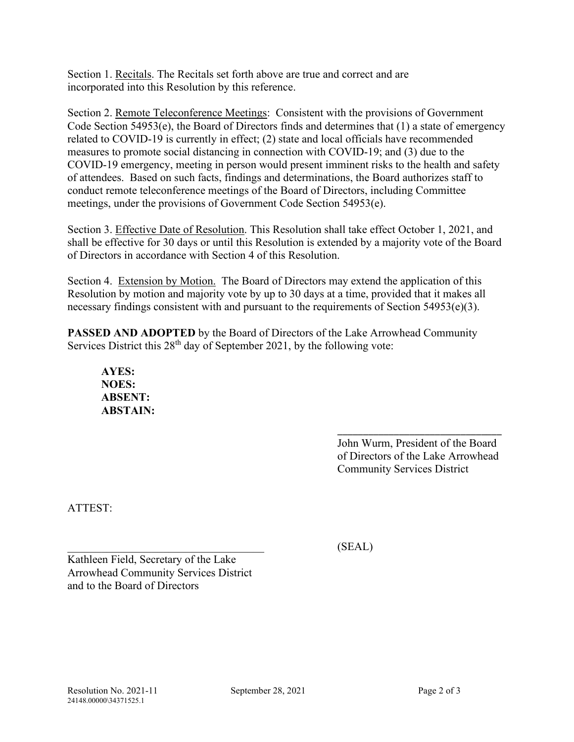Section 1. Recitals. The Recitals set forth above are true and correct and are incorporated into this Resolution by this reference.

Section 2. Remote Teleconference Meetings: Consistent with the provisions of Government Code Section 54953(e), the Board of Directors finds and determines that (1) a state of emergency related to COVID-19 is currently in effect; (2) state and local officials have recommended measures to promote social distancing in connection with COVID-19; and (3) due to the COVID-19 emergency, meeting in person would present imminent risks to the health and safety of attendees. Based on such facts, findings and determinations, the Board authorizes staff to conduct remote teleconference meetings of the Board of Directors, including Committee meetings, under the provisions of Government Code Section 54953(e).

Section 3. Effective Date of Resolution. This Resolution shall take effect October 1, 2021, and shall be effective for 30 days or until this Resolution is extended by a majority vote of the Board of Directors in accordance with Section 4 of this Resolution.

Section 4. Extension by Motion. The Board of Directors may extend the application of this Resolution by motion and majority vote by up to 30 days at a time, provided that it makes all necessary findings consistent with and pursuant to the requirements of Section 54953(e)(3).

**PASSED AND ADOPTED** by the Board of Directors of the Lake Arrowhead Community Services District this  $28<sup>th</sup>$  day of September 2021, by the following vote:

**AYES: NOES: ABSENT: ABSTAIN:** 

> \_\_\_\_\_\_\_\_\_\_\_\_\_\_\_\_\_\_\_\_\_\_\_\_\_\_\_\_\_\_\_\_ John Wurm, President of the Board of Directors of the Lake Arrowhead Community Services District

ATTEST:

 $(SEAL)$ 

Kathleen Field, Secretary of the Lake Arrowhead Community Services District and to the Board of Directors